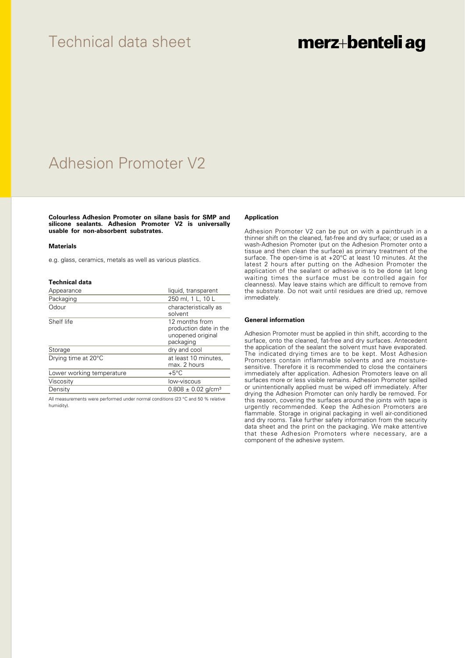## Technical data sheet

# merz+benteli ag

# Adhesion Promoter V2

**Colourless Adhesion Promoter on silane basis for SMP and silicone sealants. Adhesion Promoter V2 is universally usable for non-absorbent substrates.**

#### **Materials**

e.g. glass, ceramics, metals as well as various plastics.

#### **Technical data**

| Appearance                | liquid, transparent                                                        |
|---------------------------|----------------------------------------------------------------------------|
| Packaging                 | 250 ml, 1 L, 10 L                                                          |
| Odour                     | characteristically as<br>solvent                                           |
| Shelf life                | 12 months from<br>production date in the<br>unopened original<br>packaging |
| Storage                   | dry and cool                                                               |
| Drying time at 20°C       | at least 10 minutes,<br>max. 2 hours                                       |
| Lower working temperature | $+5^{\circ}$ C                                                             |
| Viscosity                 | low-viscous                                                                |
| Density                   | $0.808 \pm 0.02$ g/cm <sup>3</sup>                                         |

All measurements were performed under normal conditions (23 °C and 50 % relative humidity).

### **Application**

Adhesion Promoter V2 can be put on with a paintbrush in a thinner shift on the cleaned, fat-free and dry surface; or used as a wash-Adhesion Promoter (put on the Adhesion Promoter onto a tissue and then clean the surface) as primary treatment of the surface. The open-time is at +20°C at least 10 minutes. At the latest 2 hours after putting on the Adhesion Promoter the application of the sealant or adhesive is to be done (at long waiting times the surface must be controlled again for cleanness). May leave stains which are difficult to remove from the substrate. Do not wait until residues are dried up, remove immediately.

### **General information**

Adhesion Promoter must be applied in thin shift, according to the surface, onto the cleaned, fat-free and dry surfaces. Antecedent the application of the sealant the solvent must have evaporated. The indicated drying times are to be kept. Most Adhesion Promoters contain inflammable solvents and are moisturesensitive. Therefore it is recommended to close the containers immediately after application. Adhesion Promoters leave on all surfaces more or less visible remains. Adhesion Promoter spilled or unintentionally applied must be wiped off immediately. After drying the Adhesion Promoter can only hardly be removed. For this reason, covering the surfaces around the joints with tape is urgently recommended. Keep the Adhesion Promoters are flammable. Storage in original packaging in well air-conditioned and dry rooms. Take further safety information from the security data sheet and the print on the packaging. We make attentive that these Adhesion Promoters where necessary, are a component of the adhesive system.